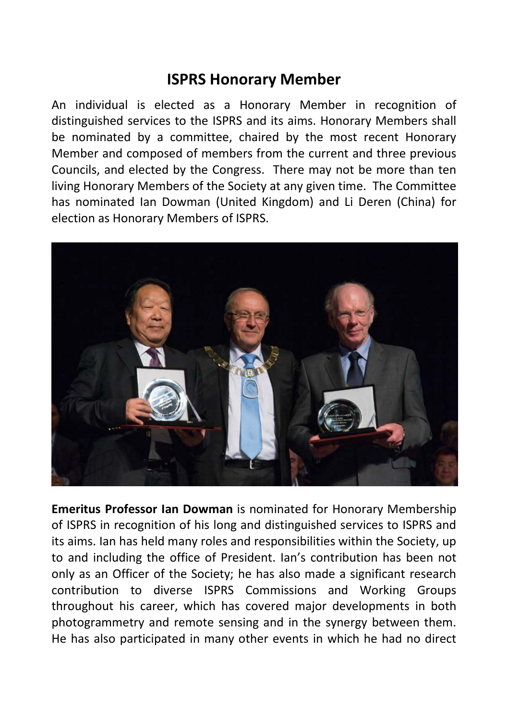## **ISPRS Honorary Member**

An individual is elected as a Honorary Member in recognition of distinguished services to the ISPRS and its aims. Honorary Members shall be nominated by a committee, chaired by the most recent Honorary Member and composed of members from the current and three previous Councils, and elected by the Congress. There may not be more than ten living Honorary Members of the Society at any given time. The Committee has nominated Ian Dowman (United Kingdom) and Li Deren (China) for election as Honorary Members of ISPRS.



**Emeritus Professor Ian Dowman** is nominated for Honorary Membership of ISPRS in recognition of his long and distinguished services to ISPRS and its aims. Ian has held many roles and responsibilities within the Society, up to and including the office of President. Ian's contribution has been not only as an Officer of the Society; he has also made a significant research contribution to diverse ISPRS Commissions and Working Groups throughout his career, which has covered major developments in both photogrammetry and remote sensing and in the synergy between them. He has also participated in many other events in which he had no direct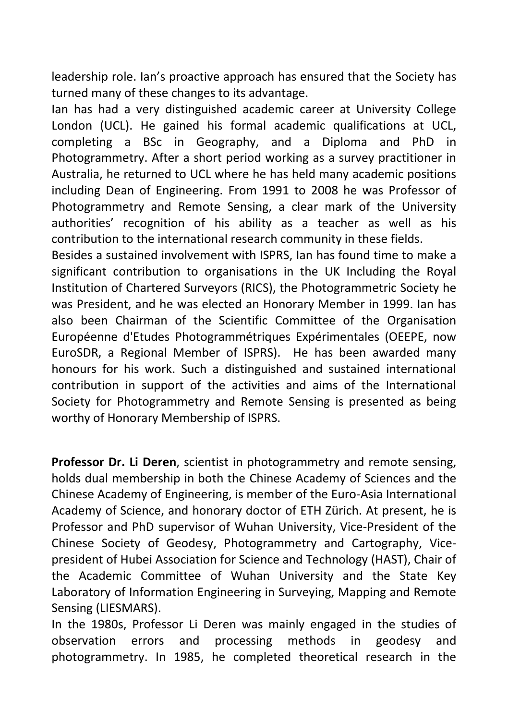leadership role. Ian's proactive approach has ensured that the Society has turned many of these changes to its advantage.

Ian has had a very distinguished academic career at University College London (UCL). He gained his formal academic qualifications at UCL, completing a BSc in Geography, and a Diploma and PhD in Photogrammetry. After a short period working as a survey practitioner in Australia, he returned to UCL where he has held many academic positions including Dean of Engineering. From 1991 to 2008 he was Professor of Photogrammetry and Remote Sensing, a clear mark of the University authorities' recognition of his ability as a teacher as well as his contribution to the international research community in these fields.

Besides a sustained involvement with ISPRS, Ian has found time to make a significant contribution to organisations in the UK Including the Royal Institution of Chartered Surveyors (RICS), the Photogrammetric Society he was President, and he was elected an Honorary Member in 1999. Ian has also been Chairman of the Scientific Committee of the Organisation Européenne d'Etudes Photogrammétriques Expérimentales (OEEPE, now EuroSDR, a Regional Member of ISPRS). He has been awarded many honours for his work. Such a distinguished and sustained international contribution in support of the activities and aims of the International Society for Photogrammetry and Remote Sensing is presented as being worthy of Honorary Membership of ISPRS.

**Professor Dr. Li Deren**, scientist in photogrammetry and remote sensing, holds dual membership in both the Chinese Academy of Sciences and the Chinese Academy of Engineering, is member of the Euro-Asia International Academy of Science, and honorary doctor of ETH Zürich. At present, he is Professor and PhD supervisor of Wuhan University, Vice-President of the Chinese Society of Geodesy, Photogrammetry and Cartography, Vicepresident of Hubei Association for Science and Technology (HAST), Chair of the Academic Committee of Wuhan University and the State Key Laboratory of Information Engineering in Surveying, Mapping and Remote Sensing (LIESMARS).

In the 1980s, Professor Li Deren was mainly engaged in the studies of observation errors and processing methods in geodesy and photogrammetry. In 1985, he completed theoretical research in the